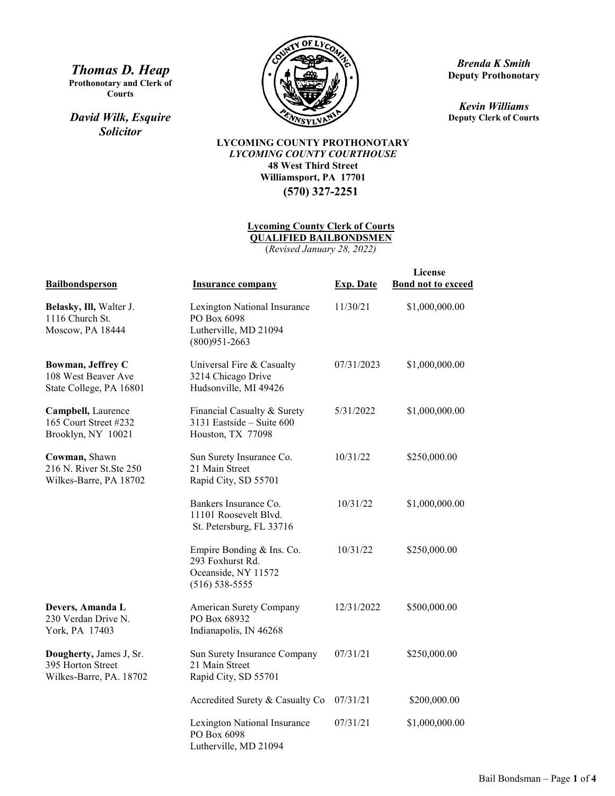Thomas D. Heap Prothonotary and Clerk of

**Courts** 

David Wilk, Esquire Solicitor



Brenda K Smith Deputy Prothonotary

Kevin Williams Deputy Clerk of Courts

(570) 327-2251 LYCOMING COUNTY PROTHONOTARY LYCOMING COUNTY COURTHOUSE 48 West Third Street Williamsport, PA 17701

## Lycoming County Clerk of Courts QUALIFIED BAILBONDSMEN

(Revised January 28, 2022)

| <b>Bailbondsperson</b>                                                  | <b>Insurance company</b>                                                                   | <b>Exp. Date</b> | License<br><b>Bond not to exceed</b> |
|-------------------------------------------------------------------------|--------------------------------------------------------------------------------------------|------------------|--------------------------------------|
| Belasky, Ill, Walter J.<br>1116 Church St.<br>Moscow, PA 18444          | Lexington National Insurance<br>PO Box 6098<br>Lutherville, MD 21094<br>$(800)951 - 2663$  | 11/30/21         | \$1,000,000.00                       |
| Bowman, Jeffrey C<br>108 West Beaver Ave<br>State College, PA 16801     | Universal Fire & Casualty<br>3214 Chicago Drive<br>Hudsonville, MI 49426                   | 07/31/2023       | \$1,000,000.00                       |
| Campbell, Laurence<br>165 Court Street #232<br>Brooklyn, NY 10021       | Financial Casualty & Surety<br>3131 Eastside – Suite $600$<br>Houston, TX 77098            | 5/31/2022        | \$1,000,000.00                       |
| Cowman, Shawn<br>216 N. River St. Ste 250<br>Wilkes-Barre, PA 18702     | Sun Surety Insurance Co.<br>21 Main Street<br>Rapid City, SD 55701                         | 10/31/22         | \$250,000.00                         |
|                                                                         | Bankers Insurance Co.<br>11101 Roosevelt Blvd.<br>St. Petersburg, FL 33716                 | 10/31/22         | \$1,000,000.00                       |
|                                                                         | Empire Bonding & Ins. Co.<br>293 Foxhurst Rd.<br>Oceanside, NY 11572<br>$(516) 538 - 5555$ | 10/31/22         | \$250,000.00                         |
| Devers, Amanda L<br>230 Verdan Drive N.<br>York, PA 17403               | American Surety Company<br>PO Box 68932<br>Indianapolis, IN 46268                          | 12/31/2022       | \$500,000.00                         |
| Dougherty, James J, Sr.<br>395 Horton Street<br>Wilkes-Barre, PA. 18702 | Sun Surety Insurance Company<br>21 Main Street<br>Rapid City, SD 55701                     | 07/31/21         | \$250,000.00                         |
|                                                                         | Accredited Surety & Casualty Co                                                            | 07/31/21         | \$200,000.00                         |
|                                                                         | Lexington National Insurance<br>PO Box 6098<br>Lutherville, MD 21094                       | 07/31/21         | \$1,000,000.00                       |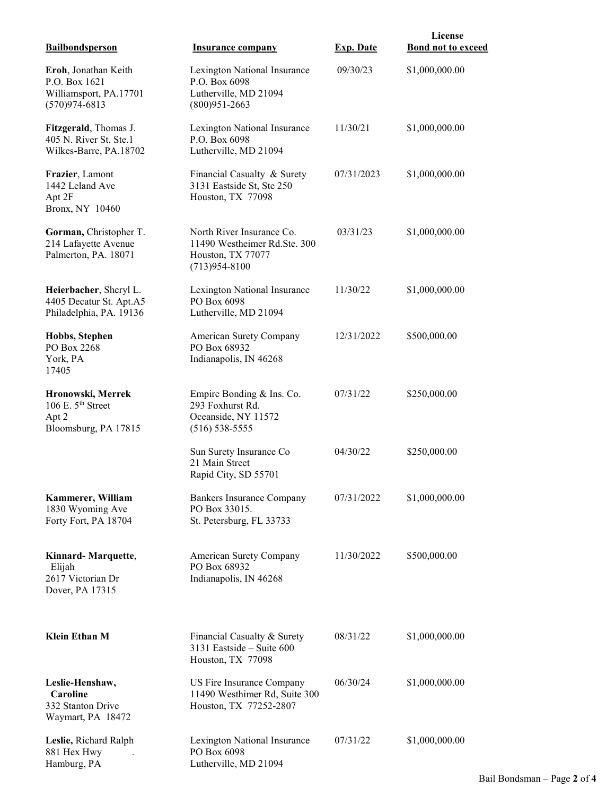| <b>Bailbondsperson</b>                                                             | <b>Insurance company</b>                                                                            | <b>Exp. Date</b> | License<br>Bond not to exceed |
|------------------------------------------------------------------------------------|-----------------------------------------------------------------------------------------------------|------------------|-------------------------------|
| Eroh, Jonathan Keith<br>P.O. Box 1621<br>Williamsport, PA.17701<br>$(570)974-6813$ | Lexington National Insurance<br>P.O. Box 6098<br>Lutherville, MD 21094<br>$(800)951 - 2663$         | 09/30/23         | \$1,000,000.00                |
| Fitzgerald, Thomas J.<br>405 N. River St. Ste.1<br>Wilkes-Barre, PA.18702          | Lexington National Insurance<br>P.O. Box 6098<br>Lutherville, MD 21094                              | 11/30/21         | \$1,000,000.00                |
| Frazier, Lamont<br>1442 Leland Ave<br>Apt 2F<br>Bronx, NY 10460                    | Financial Casualty & Surety<br>3131 Eastside St, Ste 250<br>Houston, TX 77098                       | 07/31/2023       | \$1,000,000.00                |
| Gorman, Christopher T.<br>214 Lafayette Avenue<br>Palmerton, PA. 18071             | North River Insurance Co.<br>11490 Westheimer Rd.Ste. 300<br>Houston, TX 77077<br>$(713)954 - 8100$ | 03/31/23         | \$1,000,000.00                |
| Heierbacher, Sheryl L.<br>4405 Decatur St. Apt.A5<br>Philadelphia, PA. 19136       | Lexington National Insurance<br>PO Box 6098<br>Lutherville, MD 21094                                | 11/30/22         | \$1,000,000.00                |
| Hobbs, Stephen<br>PO Box 2268<br>York, PA<br>17405                                 | American Surety Company<br>PO Box 68932<br>Indianapolis, IN 46268                                   | 12/31/2022       | \$500,000.00                  |
| Hronowski, Merrek<br>106 E. $5th$ Street<br>Apt 2<br>Bloomsburg, PA 17815          | Empire Bonding & Ins. Co.<br>293 Foxhurst Rd.<br>Oceanside, NY 11572<br>$(516) 538 - 5555$          | 07/31/22         | \$250,000.00                  |
|                                                                                    | Sun Surety Insurance Co<br>21 Main Street<br>Rapid City, SD 55701                                   | 04/30/22         | \$250,000.00                  |
| Kammerer, William<br>1830 Wyoming Ave<br>Forty Fort, PA 18704                      | <b>Bankers Insurance Company</b><br>PO Box 33015.<br>St. Petersburg, FL 33733                       | 07/31/2022       | \$1,000,000.00                |
| Kinnard-Marquette,<br>Elijah<br>2617 Victorian Dr<br>Dover, PA 17315               | American Surety Company<br>PO Box 68932<br>Indianapolis, IN 46268                                   | 11/30/2022       | \$500,000.00                  |
| <b>Klein Ethan M</b>                                                               | Financial Casualty & Surety<br>3131 Eastside - Suite 600<br>Houston, TX 77098                       | 08/31/22         | \$1,000,000.00                |
| Leslie-Henshaw,<br>Caroline<br>332 Stanton Drive<br>Waymart, PA 18472              | US Fire Insurance Company<br>11490 Westhimer Rd, Suite 300<br>Houston, TX 77252-2807                | 06/30/24         | \$1,000,000.00                |
| Leslie, Richard Ralph<br>881 Hex Hwy<br>Hamburg, PA                                | Lexington National Insurance<br>PO Box 6098<br>Lutherville, MD 21094                                | 07/31/22         | \$1,000,000.00                |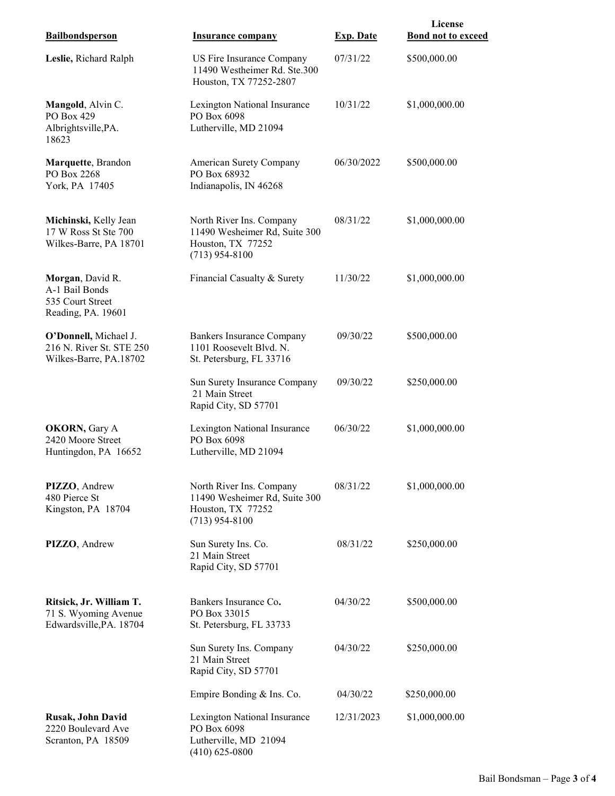| <b>Bailbondsperson</b>                                                       | <b>Insurance company</b>                                                                           | <b>Exp. Date</b> | License<br><b>Bond not to exceed</b> |
|------------------------------------------------------------------------------|----------------------------------------------------------------------------------------------------|------------------|--------------------------------------|
| Leslie, Richard Ralph                                                        | US Fire Insurance Company<br>11490 Westheimer Rd. Ste.300<br>Houston, TX 77252-2807                | 07/31/22         | \$500,000.00                         |
| Mangold, Alvin C.<br>PO Box 429<br>Albrightsville, PA.<br>18623              | Lexington National Insurance<br>PO Box 6098<br>Lutherville, MD 21094                               | 10/31/22         | \$1,000,000.00                       |
| Marquette, Brandon<br>PO Box 2268<br>York, PA 17405                          | American Surety Company<br>PO Box 68932<br>Indianapolis, IN 46268                                  | 06/30/2022       | \$500,000.00                         |
| Michinski, Kelly Jean<br>17 W Ross St Ste 700<br>Wilkes-Barre, PA 18701      | North River Ins. Company<br>11490 Wesheimer Rd, Suite 300<br>Houston, TX 77252<br>$(713)$ 954-8100 | 08/31/22         | \$1,000,000.00                       |
| Morgan, David R.<br>A-1 Bail Bonds<br>535 Court Street<br>Reading, PA. 19601 | Financial Casualty & Surety                                                                        | 11/30/22         | \$1,000,000.00                       |
| O'Donnell, Michael J.<br>216 N. River St. STE 250<br>Wilkes-Barre, PA.18702  | <b>Bankers Insurance Company</b><br>1101 Roosevelt Blvd. N.<br>St. Petersburg, FL 33716            | 09/30/22         | \$500,000.00                         |
|                                                                              | Sun Surety Insurance Company<br>21 Main Street<br>Rapid City, SD 57701                             | 09/30/22         | \$250,000.00                         |
| <b>OKORN</b> , Gary A<br>2420 Moore Street<br>Huntingdon, PA 16652           | Lexington National Insurance<br>PO Box 6098<br>Lutherville, MD 21094                               | 06/30/22         | \$1,000,000.00                       |
| PIZZO, Andrew<br>480 Pierce St<br>Kingston, PA 18704                         | North River Ins. Company<br>11490 Wesheimer Rd, Suite 300<br>Houston, TX 77252<br>$(713)$ 954-8100 | 08/31/22         | \$1,000,000.00                       |
| PIZZO, Andrew                                                                | Sun Surety Ins. Co.<br>21 Main Street<br>Rapid City, SD 57701                                      | 08/31/22         | \$250,000.00                         |
| Ritsick, Jr. William T.<br>71 S. Wyoming Avenue<br>Edwardsville, PA. 18704   | Bankers Insurance Co.<br>PO Box 33015<br>St. Petersburg, FL 33733                                  | 04/30/22         | \$500,000.00                         |
|                                                                              | Sun Surety Ins. Company<br>21 Main Street<br>Rapid City, SD 57701                                  | 04/30/22         | \$250,000.00                         |
|                                                                              | Empire Bonding & Ins. Co.                                                                          | 04/30/22         | \$250,000.00                         |
| Rusak, John David<br>2220 Boulevard Ave<br>Scranton, PA 18509                | Lexington National Insurance<br>PO Box 6098<br>Lutherville, MD 21094<br>$(410) 625 - 0800$         | 12/31/2023       | \$1,000,000.00                       |